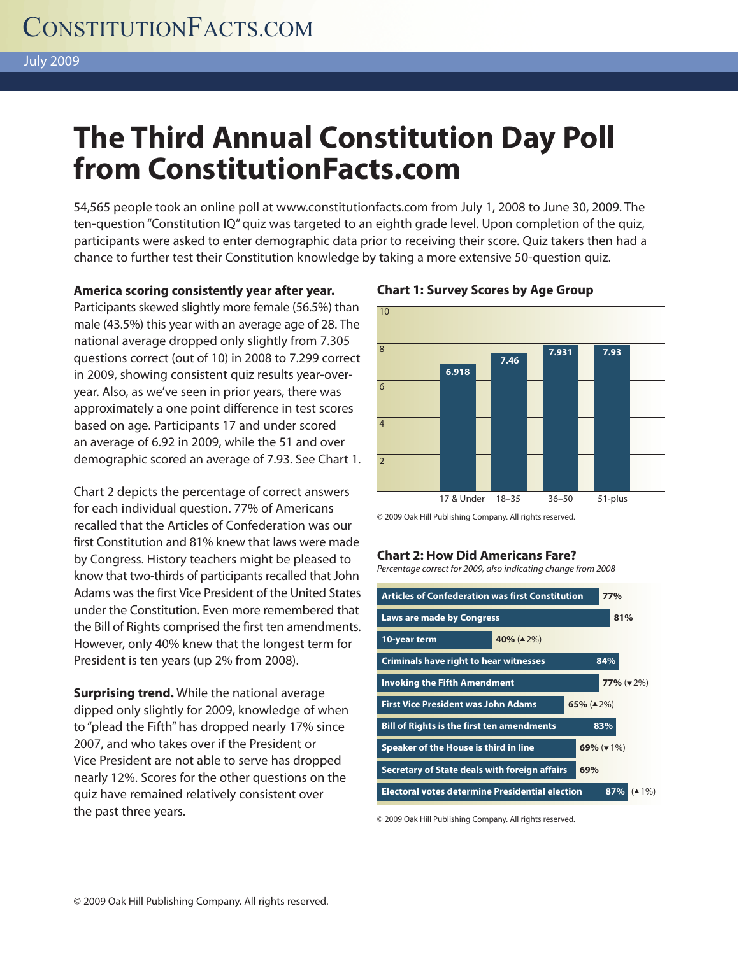# **The Third Annual Constitution Day Poll from ConstitutionFacts.com**

54,565 people took an online poll at www.constitutionfacts.com from July 1, 2008 to June 30, 2009. The ten-question "Constitution IQ" quiz was targeted to an eighth grade level. Upon completion of the quiz, participants were asked to enter demographic data prior to receiving their score. Quiz takers then had a chance to further test their Constitution knowledge by taking a more extensive 50-question quiz.

### **America scoring consistently year after year. Chart 1: Survey Scores by Age Group**

Participants skewed slightly more female (56.5%) than male (43.5%) this year with an average age of 28. The national average dropped only slightly from 7.305 questions correct (out of 10) in 2008 to 7.299 correct in 2009, showing consistent quiz results year-overyear. Also, as we've seen in prior years, there was approximately a one point difference in test scores based on age. Participants 17 and under scored an average of 6.92 in 2009, while the 51 and over demographic scored an average of 7.93. See Chart 1.

Chart 2 depicts the percentage of correct answers for each individual question. 77% of Americans recalled that the Articles of Confederation was our first Constitution and 81% knew that laws were made by Congress. History teachers might be pleased to know that two-thirds of participants recalled that John Adams was the first Vice President of the United States under the Constitution. Even more remembered that the Bill of Rights comprised the first ten amendments. However, only 40% knew that the longest term for President is ten years (up 2% from 2008).

**Surprising trend.** While the national average dipped only slightly for 2009, knowledge of when to "plead the Fifth" has dropped nearly 17% since 2007, and who takes over if the President or Vice President are not able to serve has dropped nearly 12%. Scores for the other questions on the quiz have remained relatively consistent over the past three years.



© 2009 Oak Hill Publishing Company. All rights reserved.

#### **Chart 2: How Did Americans Fare?**

Percentage correct for 2009, also indicating change from 2008

**Articles of Confederation was first Constitution 77% Laws are made by Congress Basic Congress Basic Congress 10-year term Criminals have right to hear witnesses 84% Invoking the Fifth Amendment 77%** (▼ 2%) **First Vice President was John Adams 65%** (▲ 2%) **Bill of Rights is the first ten amendments 83% Speaker of the House is third in line 69% (▼ 1%) Secretary of State deals with foreign affairs Electoral votes determine Presidential election 87%** (▲ 1%) **40%** (▲ 2%) **69%** 

© 2009 Oak Hill Publishing Company. All rights reserved.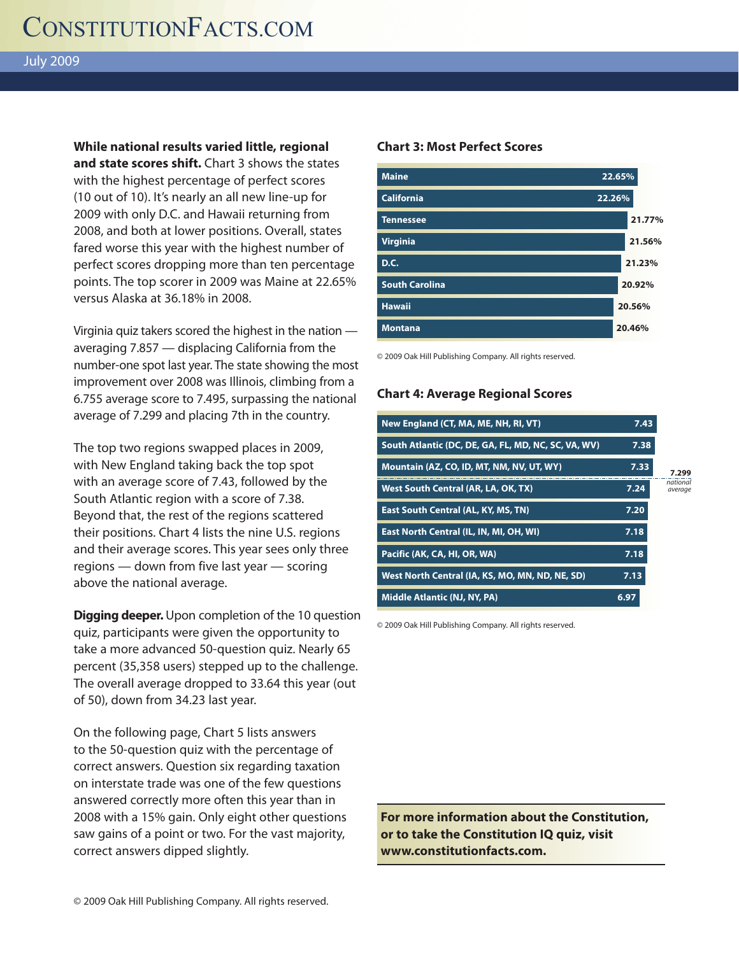**While national results varied little, regional and state scores shift.** Chart 3 shows the states with the highest percentage of perfect scores (10 out of 10). It's nearly an all new line-up for 2009 with only D.C. and Hawaii returning from 2008, and both at lower positions. Overall, states fared worse this year with the highest number of perfect scores dropping more than ten percentage points. The top scorer in 2009 was Maine at 22.65% versus Alaska at 36.18% in 2008.

Virginia quiz takers scored the highest in the nation averaging 7.857 — displacing California from the number-one spot last year. The state showing the most improvement over 2008 was Illinois, climbing from a 6.755 average score to 7.495, surpassing the national average of 7.299 and placing 7th in the country.

The top two regions swapped places in 2009, with New England taking back the top spot with an average score of 7.43, followed by the South Atlantic region with a score of 7.38. Beyond that, the rest of the regions scattered their positions. Chart 4 lists the nine U.S. regions and their average scores. This year sees only three regions — down from five last year — scoring above the national average.

**Digging deeper.** Upon completion of the 10 question quiz, participants were given the opportunity to take a more advanced 50-question quiz. Nearly 65 percent (35,358 users) stepped up to the challenge. The overall average dropped to 33.64 this year (out of 50), down from 34.23 last year.

On the following page, Chart 5 lists answers to the 50-question quiz with the percentage of correct answers. Question six regarding taxation on interstate trade was one of the few questions answered correctly more often this year than in 2008 with a 15% gain. Only eight other questions saw gains of a point or two. For the vast majority, correct answers dipped slightly.

### **Chart 3: Most Perfect Scores**



© 2009 Oak Hill Publishing Company. All rights reserved.

#### **Chart 4: Average Regional Scores**

| New England (CT, MA, ME, NH, RI, VT)                | 7.43 |                     |
|-----------------------------------------------------|------|---------------------|
| South Atlantic (DC, DE, GA, FL, MD, NC, SC, VA, WV) | 7.38 |                     |
| Mountain (AZ, CO, ID, MT, NM, NV, UT, WY)           | 7.33 | 7.299               |
| West South Central (AR, LA, OK, TX)                 | 7.24 | national<br>average |
| <b>East South Central (AL, KY, MS, TN)</b>          | 7.20 |                     |
| East North Central (IL, IN, MI, OH, WI)             | 7.18 |                     |
| Pacific (AK, CA, HI, OR, WA)                        | 7.18 |                     |
| West North Central (IA, KS, MO, MN, ND, NE, SD)     | 7.13 |                     |
| Middle Atlantic (NJ, NY, PA)                        | 6.97 |                     |

© 2009 Oak Hill Publishing Company. All rights reserved.

**For more information about the Constitution, or to take the Constitution IQ quiz, visit www.constitutionfacts.com.**